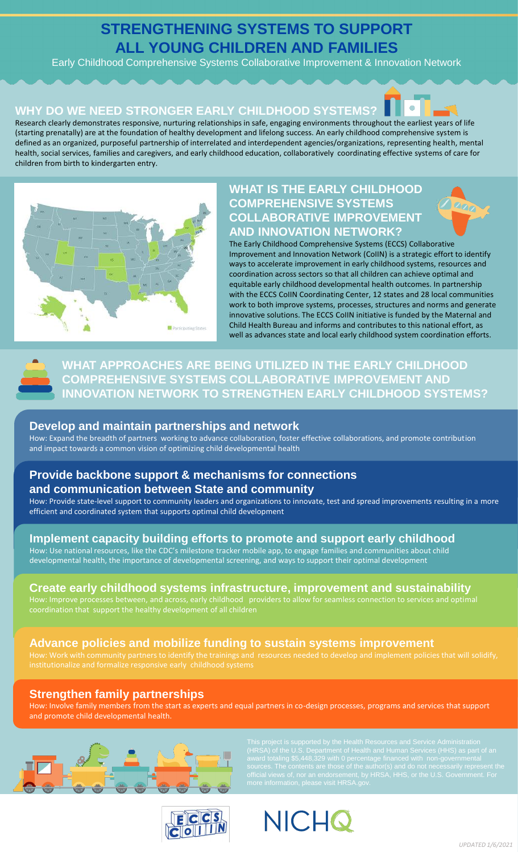# **STRENGTHENING SYSTEMS TO SUPPORT ALL YOUNG CHILDREN AND FAMILIES**

Early Childhood Comprehensive Systems Collaborative Improvement & Innovation Network

### **WHY DO WE NEED STRONGER EARLY CHILDHOOD SYSTEMS?**



Research clearly demonstrates responsive, nurturing relationships in safe, engaging environments throughout the earliest years of life (starting prenatally) are at the foundation of healthy development and lifelong success. An early childhood comprehensive system is defined as an organized, purposeful partnership of interrelated and interdependent agencies/organizations, representing health, mental health, social services, families and caregivers, and early childhood education, collaboratively coordinating effective systems of care for children from birth to kindergarten entry.



# **WHAT IS THE EARLY CHILDHOOD COMPREHENSIVE SYSTEMS COLLABORATIVE IMPROVEMENT AND INNOVATION NETWORK?**





**WHAT APPROACHES ARE BEING UTILIZED IN THE EARLY CHILDHOOD COMPREHENSIVE SYSTEMS COLLABORATIVE IMPROVEMENT AND INNOVATION NETWORK TO STRENGTHEN EARLY CHILDHOOD SYSTEMS?**

### **Develop and maintain partnerships and network**

How: Expand the breadth of partners working to advance collaboration, foster effective collaborations, and promote contribution and impact towards a common vision of optimizing child developmental health

# **Provide backbone support & mechanisms for connections and communication between State and community**

How: Provide state-level support to community leaders and organizations to innovate, test and spread improvements resulting in a more efficient and coordinated system that supports optimal child development

# **Implement capacity building efforts to promote and support early childhood**

How: Use national resources, like the CDC's milestone tracker mobile app, to engage families and communities about child developmental health, the importance of developmental screening, and ways to support their optimal development

# **Create early childhood systems infrastructure, improvement and sustainability**

coordination that support the healthy development of all children

# **Advance policies and mobilize funding to sustain systems improvement**

# **Strengthen family partnerships**

How: Involve family members from the start as experts and equal partners in co-design processes, programs and services that support and promote child developmental health.



(HRSA) of the U.S. Department of Health and Human Services (HHS) as part of an



**NICHQ**